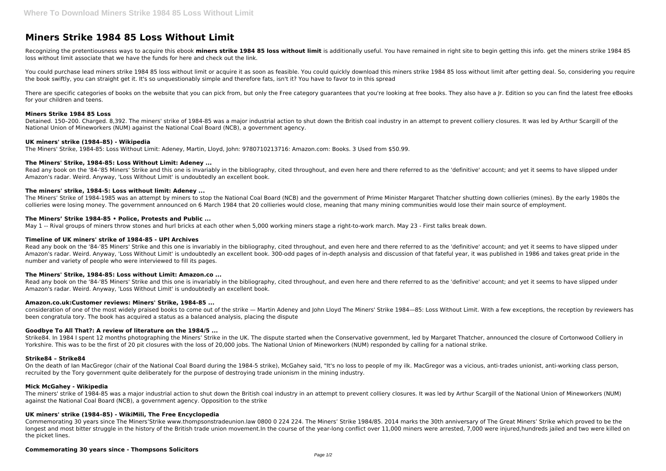# **Miners Strike 1984 85 Loss Without Limit**

Recognizing the pretentiousness ways to acquire this ebook miners strike 1984 85 loss without limit is additionally useful. You have remained in right site to begin getting this info. get the miners strike 1984 85 loss without limit associate that we have the funds for here and check out the link.

There are specific categories of books on the website that you can pick from, but only the Free category guarantees that you're looking at free books. They also have a Jr. Edition so you can find the latest free eBooks for your children and teens.

You could purchase lead miners strike 1984 85 loss without limit or acquire it as soon as feasible. You could quickly download this miners strike 1984 85 loss without limit after getting deal. So, considering you require the book swiftly, you can straight get it. It's so unquestionably simple and therefore fats, isn't it? You have to favor to in this spread

Read any book on the '84-'85 Miners' Strike and this one is invariably in the bibliography, cited throughout, and even here and there referred to as the 'definitive' account; and yet it seems to have slipped under Amazon's radar. Weird. Anyway, 'Loss Without Limit' is undoubtedly an excellent book.

#### **Miners Strike 1984 85 Loss**

Detained. 150–200. Charged. 8,392. The miners' strike of 1984-85 was a major industrial action to shut down the British coal industry in an attempt to prevent colliery closures. It was led by Arthur Scargill of the National Union of Mineworkers (NUM) against the National Coal Board (NCB), a government agency.

# **UK miners' strike (1984–85) - Wikipedia**

The Miners' Strike, 1984-85: Loss Without Limit: Adeney, Martin, Lloyd, John: 9780710213716: Amazon.com: Books. 3 Used from \$50.99.

# **The Miners' Strike, 1984-85: Loss Without Limit: Adeney ...**

Read any book on the '84-'85 Miners' Strike and this one is invariably in the bibliography, cited throughout, and even here and there referred to as the 'definitive' account; and yet it seems to have slipped under Amazon's radar. Weird. Anyway, 'Loss Without Limit' is undoubtedly an excellent book. 300-odd pages of in-depth analysis and discussion of that fateful year, it was published in 1986 and takes great pride in the number and variety of people who were interviewed to fill its pages.

Read any book on the '84-'85 Miners' Strike and this one is invariably in the bibliography, cited throughout, and even here and there referred to as the 'definitive' account; and yet it seems to have slipped under Amazon's radar. Weird. Anyway, 'Loss Without Limit' is undoubtedly an excellent book.

# **The miners' strike, 1984-5: Loss without limit: Adeney ...**

The Miners' Strike of 1984-1985 was an attempt by miners to stop the National Coal Board (NCB) and the government of Prime Minister Margaret Thatcher shutting down collieries (mines). By the early 1980s the collieries were losing money. The government announced on 6 March 1984 that 20 collieries would close, meaning that many mining communities would lose their main source of employment.

#### **The Miners' Strike 1984-85 • Police, Protests and Public ...**

May 1 -- Rival groups of miners throw stones and hurl bricks at each other when 5,000 working miners stage a right-to-work march. May 23 - First talks break down.

# **Timeline of UK miners' strike of 1984-85 - UPI Archives**

# **The Miners' Strike, 1984-85: Loss without Limit: Amazon.co ...**

# **Amazon.co.uk:Customer reviews: Miners' Strike, 1984-85 ...**

consideration of one of the most widely praised books to come out of the strike — Martin Adeney and John Lloyd The Miners' Strike 1984—85: Loss Without Limit. With a few exceptions, the reception by reviewers has been congratula tory. The book has acquired a status as a balanced analysis, placing the dispute

# **Goodbye To All That?: A review of literature on the 1984/5 ...**

Strike84. In 1984 I spent 12 months photographing the Miners' Strike in the UK. The dispute started when the Conservative government, led by Margaret Thatcher, announced the closure of Cortonwood Colliery in Yorkshire. This was to be the first of 20 pit closures with the loss of 20,000 jobs. The National Union of Mineworkers (NUM) responded by calling for a national strike.

# **Strike84 – Strike84**

On the death of Ian MacGregor (chair of the National Coal Board during the 1984-5 strike), McGahey said, "It's no loss to people of my ilk. MacGregor was a vicious, anti-trades unionist, anti-working class person, recruited by the Tory government quite deliberately for the purpose of destroying trade unionism in the mining industry.

# **Mick McGahey - Wikipedia**

The miners' strike of 1984-85 was a major industrial action to shut down the British coal industry in an attempt to prevent colliery closures. It was led by Arthur Scargill of the National Union of Mineworkers (NUM) against the National Coal Board (NCB), a government agency. Opposition to the strike

# **UK miners' strike (1984–85) - WikiMili, The Free Encyclopedia**

Commemorating 30 years since The Miners'Strike www.thompsonstradeunion.law 0800 0 224 224. The Miners' Strike 1984/85. 2014 marks the 30th anniversary of The Great Miners' Strike which proved to be the longest and most bitter struggle in the history of the British trade union movement.In the course of the year-long conflict over 11,000 miners were arrested, 7,000 were injured,hundreds jailed and two were killed on the picket lines.

#### **Commemorating 30 years since - Thompsons Solicitors**